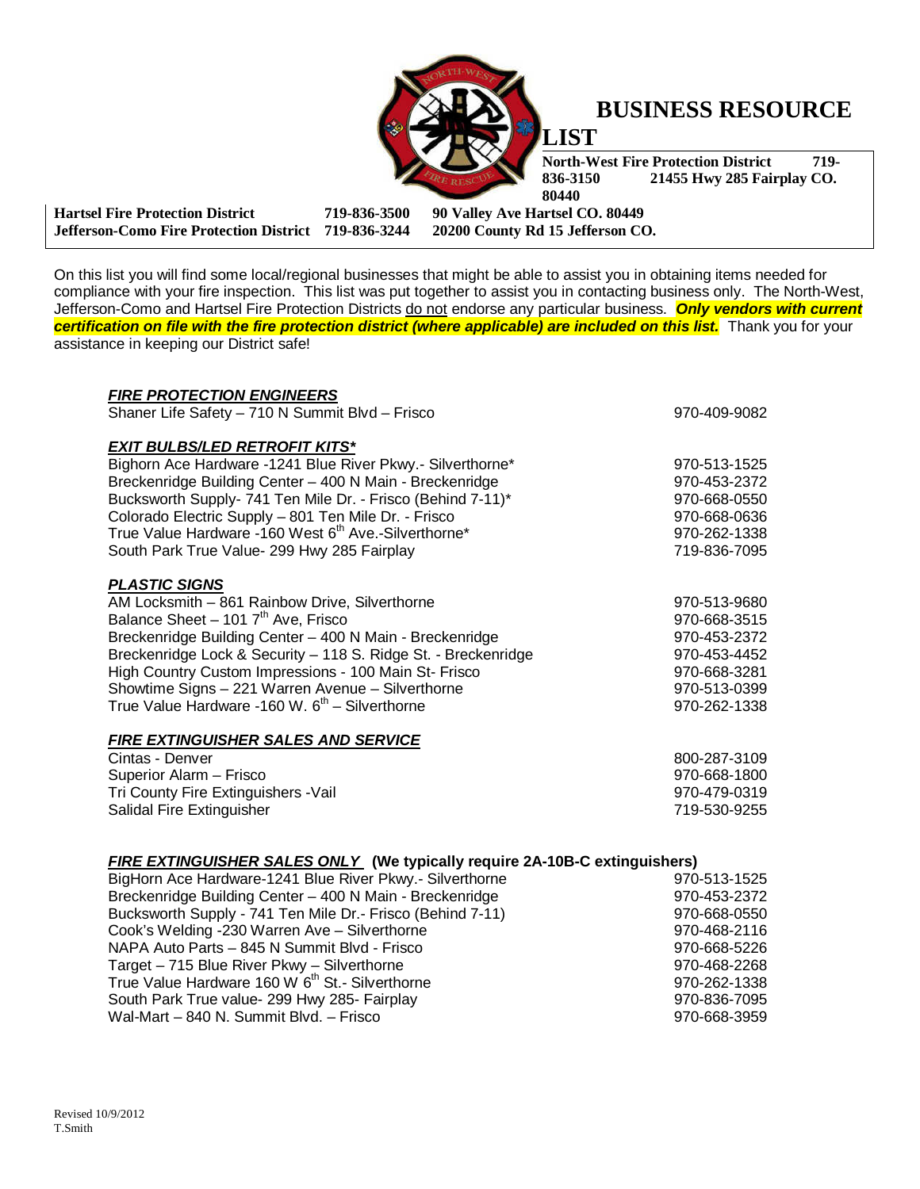

## **BUSINESS RESOURCE**

**North-West Fire Protection District 719-836-3150 21455 Hwy 285 Fairplay CO. 836-3150 21455 Hwy 285 Fairplay CO. 80440** 

**Hartsel Fire Protection District 719-836-3500 90 Valley Ave Hartsel CO. 80449 Jefferson-Como Fire Protection District 719-836-3244 20200 County Rd 15 Jefferson CO.** 

On this list you will find some local/regional businesses that might be able to assist you in obtaining items needed for compliance with your fire inspection. This list was put together to assist you in contacting business only. The North-West, Jefferson-Como and Hartsel Fire Protection Districts do not endorse any particular business. **Only vendors with current certification on file with the fire protection district (where applicable) are included on this list.** Thank you for your assistance in keeping our District safe!

| 970-409-9082                                                                      |  |  |
|-----------------------------------------------------------------------------------|--|--|
|                                                                                   |  |  |
|                                                                                   |  |  |
| 970-513-1525                                                                      |  |  |
| 970-453-2372                                                                      |  |  |
| 970-668-0550                                                                      |  |  |
| 970-668-0636                                                                      |  |  |
| 970-262-1338                                                                      |  |  |
| 719-836-7095                                                                      |  |  |
|                                                                                   |  |  |
|                                                                                   |  |  |
| 970-513-9680                                                                      |  |  |
| 970-668-3515                                                                      |  |  |
| 970-453-2372                                                                      |  |  |
| 970-453-4452                                                                      |  |  |
| 970-668-3281                                                                      |  |  |
| 970-513-0399                                                                      |  |  |
| 970-262-1338                                                                      |  |  |
|                                                                                   |  |  |
|                                                                                   |  |  |
| 800-287-3109                                                                      |  |  |
| 970-668-1800                                                                      |  |  |
| 970-479-0319                                                                      |  |  |
| 719-530-9255                                                                      |  |  |
|                                                                                   |  |  |
|                                                                                   |  |  |
| <b>FIRE EXTINGUISHER SALES ONLY</b> (We typically require 2A-10B-C extinguishers) |  |  |
| 970-513-1525                                                                      |  |  |
|                                                                                   |  |  |

| BigHorn Ace Hardware-1241 Blue River Pkwy.- Silverthorne    | 970-513-1525 |
|-------------------------------------------------------------|--------------|
| Breckenridge Building Center - 400 N Main - Breckenridge    | 970-453-2372 |
| Bucksworth Supply - 741 Ten Mile Dr.- Frisco (Behind 7-11)  | 970-668-0550 |
| Cook's Welding -230 Warren Ave - Silverthorne               | 970-468-2116 |
| NAPA Auto Parts - 845 N Summit Blvd - Frisco                | 970-668-5226 |
| Target - 715 Blue River Pkwy - Silverthorne                 | 970-468-2268 |
| True Value Hardware 160 W 6 <sup>th</sup> St.- Silverthorne | 970-262-1338 |
| South Park True value- 299 Hwy 285- Fairplay                | 970-836-7095 |
| Wal-Mart - 840 N. Summit Blvd. - Frisco                     | 970-668-3959 |